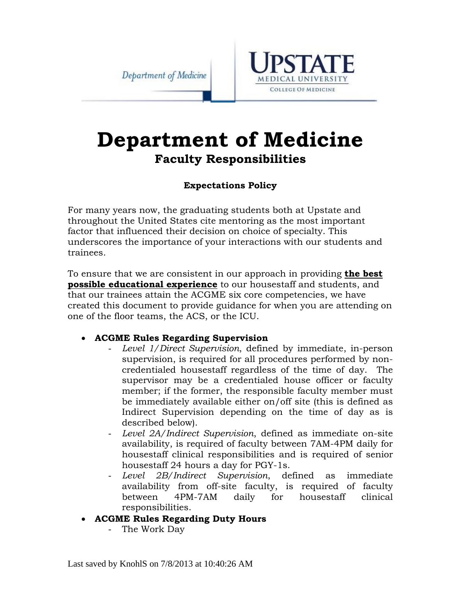Department of Medicine



# **Department of Medicine Faculty Responsibilities**

#### **Expectations Policy**

For many years now, the graduating students both at Upstate and throughout the United States cite mentoring as the most important factor that influenced their decision on choice of specialty. This underscores the importance of your interactions with our students and trainees.

To ensure that we are consistent in our approach in providing **the best possible educational experience** to our housestaff and students, and that our trainees attain the ACGME six core competencies, we have created this document to provide guidance for when you are attending on one of the floor teams, the ACS, or the ICU.

#### **ACGME Rules Regarding Supervision**

- *Level 1/Direct Supervision*, defined by immediate, in-person supervision, is required for all procedures performed by noncredentialed housestaff regardless of the time of day. The supervisor may be a credentialed house officer or faculty member; if the former, the responsible faculty member must be immediately available either on/off site (this is defined as Indirect Supervision depending on the time of day as is described below).
- Level 2A/Indirect Supervision, defined as immediate on-site availability, is required of faculty between 7AM-4PM daily for housestaff clinical responsibilities and is required of senior housestaff 24 hours a day for PGY-1s.
- Level 2B/Indirect Supervision, defined as immediate availability from off-site faculty, is required of faculty between 4PM-7AM daily for housestaff clinical responsibilities.
- **ACGME Rules Regarding Duty Hours** 
	- The Work Day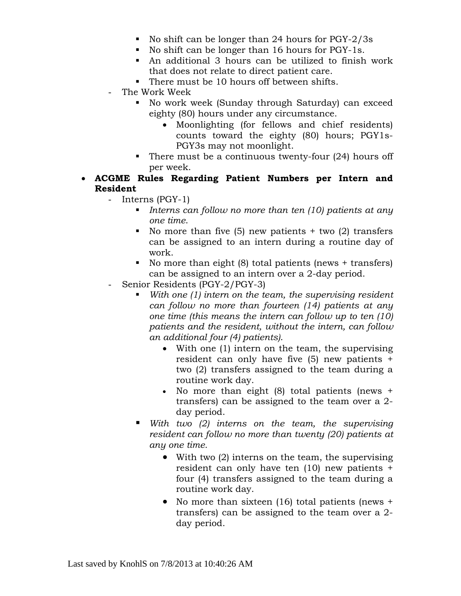- No shift can be longer than 24 hours for PGY-2/3s
- No shift can be longer than 16 hours for PGY-1s.
- An additional 3 hours can be utilized to finish work that does not relate to direct patient care.
- There must be 10 hours off between shifts.
- The Work Week
	- No work week (Sunday through Saturday) can exceed eighty (80) hours under any circumstance.
		- Moonlighting (for fellows and chief residents) counts toward the eighty (80) hours; PGY1s-PGY3s may not moonlight.
	- There must be a continuous twenty-four  $(24)$  hours off per week.
- **ACGME Rules Regarding Patient Numbers per Intern and Resident** 
	- Interns (PGY-1)
		- *Interns can follow no more than ten (10) patients at any one time*.
		- No more than five  $(5)$  new patients + two  $(2)$  transfers can be assigned to an intern during a routine day of work.
		- No more than eight  $(8)$  total patients (news + transfers) can be assigned to an intern over a 2-day period.
	- Senior Residents (PGY-2/PGY-3)
		- *With one (1) intern on the team, the supervising resident can follow no more than fourteen (14) patients at any one time (this means the intern can follow up to ten (10) patients and the resident, without the intern, can follow an additional four (4) patients)*.
			- With one (1) intern on the team, the supervising resident can only have five (5) new patients + two (2) transfers assigned to the team during a routine work day.
			- No more than eight  $(8)$  total patients (news + transfers) can be assigned to the team over a 2 day period.
		- *With two (2) interns on the team, the supervising resident can follow no more than twenty (20) patients at any one time.*
			- With two (2) interns on the team, the supervising resident can only have ten (10) new patients + four (4) transfers assigned to the team during a routine work day.
			- No more than sixteen (16) total patients (news + transfers) can be assigned to the team over a 2 day period.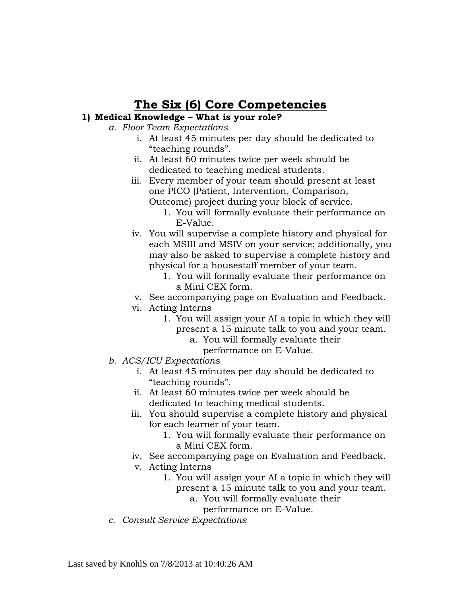## **The Six (6) Core Competencies**

#### **1) Medical Knowledge – What is your role?**

- *a. Floor Team Expectations* 
	- i. At least 45 minutes per day should be dedicated to "teaching rounds".
	- ii. At least 60 minutes twice per week should be dedicated to teaching medical students.
	- iii. Every member of your team should present at least one PICO (Patient, Intervention, Comparison, Outcome) project during your block of service.
		- 1. You will formally evaluate their performance on
			- E-Value.
	- iv. You will supervise a complete history and physical for each MSIII and MSIV on your service; additionally, you may also be asked to supervise a complete history and physical for a housestaff member of your team.
		- 1. You will formally evaluate their performance on a Mini CEX form.
	- v. See accompanying page on Evaluation and Feedback.
	- vi. Acting Interns
		- 1. You will assign your AI a topic in which they will present a 15 minute talk to you and your team.
			- a. You will formally evaluate their
				- performance on E-Value.
- *b. ACS/ICU Expectations* 
	- i. At least 45 minutes per day should be dedicated to "teaching rounds".
	- ii. At least 60 minutes twice per week should be dedicated to teaching medical students.
	- iii. You should supervise a complete history and physical for each learner of your team.
		- 1. You will formally evaluate their performance on a Mini CEX form.
	- iv. See accompanying page on Evaluation and Feedback.
	- v. Acting Interns
		- 1. You will assign your AI a topic in which they will present a 15 minute talk to you and your team.
			- a. You will formally evaluate their
				- performance on E-Value.
- *c. Consult Service Expectations*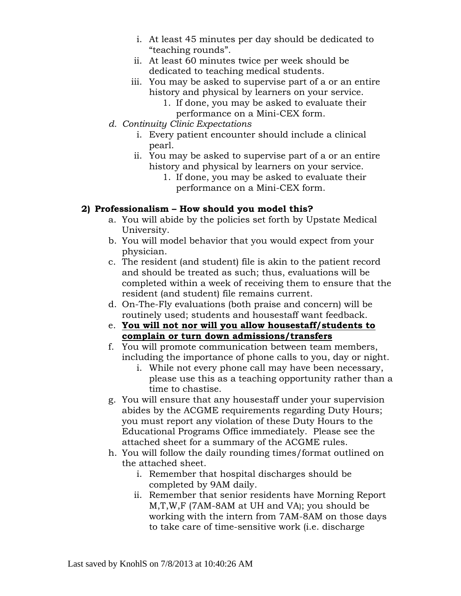- i. At least 45 minutes per day should be dedicated to "teaching rounds".
- ii. At least 60 minutes twice per week should be dedicated to teaching medical students.
- iii. You may be asked to supervise part of a or an entire history and physical by learners on your service.
	- 1. If done, you may be asked to evaluate their performance on a Mini-CEX form.
- *d. Continuity Clinic Expectations* 
	- i. Every patient encounter should include a clinical pearl.
	- ii. You may be asked to supervise part of a or an entire history and physical by learners on your service.
		- 1. If done, you may be asked to evaluate their performance on a Mini-CEX form.

#### **2) Professionalism – How should you model this?**

- a. You will abide by the policies set forth by Upstate Medical University.
- b. You will model behavior that you would expect from your physician.
- c. The resident (and student) file is akin to the patient record and should be treated as such; thus, evaluations will be completed within a week of receiving them to ensure that the resident (and student) file remains current.
- d. On-The-Fly evaluations (both praise and concern) will be routinely used; students and housestaff want feedback.
- e. **You will not nor will you allow housestaff/students to complain or turn down admissions/transfers**
- f. You will promote communication between team members, including the importance of phone calls to you, day or night.
	- i. While not every phone call may have been necessary, please use this as a teaching opportunity rather than a time to chastise.
- g. You will ensure that any housestaff under your supervision abides by the ACGME requirements regarding Duty Hours; you must report any violation of these Duty Hours to the Educational Programs Office immediately. Please see the attached sheet for a summary of the ACGME rules.
- h. You will follow the daily rounding times/format outlined on the attached sheet.
	- i. Remember that hospital discharges should be completed by 9AM daily.
	- ii. Remember that senior residents have Morning Report M,T,W,F (7AM-8AM at UH and VA); you should be working with the intern from 7AM-8AM on those days to take care of time-sensitive work (i.e. discharge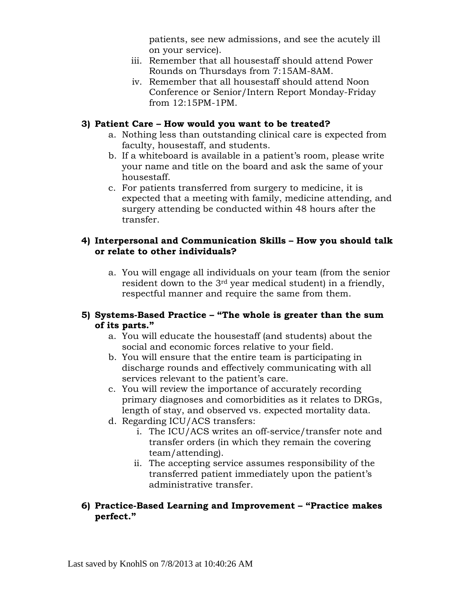patients, see new admissions, and see the acutely ill on your service).

- iii. Remember that all housestaff should attend Power Rounds on Thursdays from 7:15AM-8AM.
- iv. Remember that all housestaff should attend Noon Conference or Senior/Intern Report Monday-Friday from 12:15PM-1PM.

#### **3) Patient Care – How would you want to be treated?**

- a. Nothing less than outstanding clinical care is expected from faculty, housestaff, and students.
- b. If a whiteboard is available in a patient's room, please write your name and title on the board and ask the same of your housestaff.
- c. For patients transferred from surgery to medicine, it is expected that a meeting with family, medicine attending, and surgery attending be conducted within 48 hours after the transfer.

#### **4) Interpersonal and Communication Skills – How you should talk or relate to other individuals?**

a. You will engage all individuals on your team (from the senior resident down to the 3rd year medical student) in a friendly, respectful manner and require the same from them.

#### **5) Systems-Based Practice – "The whole is greater than the sum of its parts."**

- a. You will educate the housestaff (and students) about the social and economic forces relative to your field.
- b. You will ensure that the entire team is participating in discharge rounds and effectively communicating with all services relevant to the patient's care.
- c. You will review the importance of accurately recording primary diagnoses and comorbidities as it relates to DRGs, length of stay, and observed vs. expected mortality data.
- d. Regarding ICU/ACS transfers:
	- i. The ICU/ACS writes an off-service/transfer note and transfer orders (in which they remain the covering team/attending).
	- ii. The accepting service assumes responsibility of the transferred patient immediately upon the patient's administrative transfer.

#### **6) Practice-Based Learning and Improvement – "Practice makes perfect."**